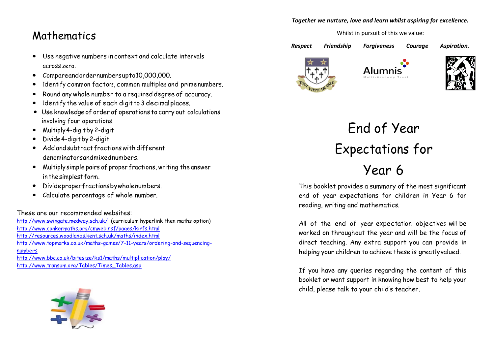#### *Together we nurture, love and learn whilst aspiring for excellence.*

### Whilst in pursuit of this we value:

Mathematics

- Use negative numbers in context and calculate intervals across zero.
- Compareandordernumbersupto10,000,000.
- Identify common factors, common multiples and primenumbers.
- Round any whole number to a required degree of accuracy.
- Identify the value of each digit to 3 decimal places.
- Use knowledge of order of operations to carry out calculations involving four operations.
- Multiply4-digitby 2-digit
- Divide 4-digit by 2-digit
- Add andsubtract fractionswith different denominatorsandmixednumbers.
- Multiply simple pairs of proper fractions, writing the answer in the simplest form.
- Divideproperfractionsbywholenumbers.
- Calculate percentage of whole number.

These are our recommended websites:

<http://www.swingate.medway.sch.uk/>(curriculum hyperlink then maths option) <http://www.conkermaths.org/cmweb.nsf/pages/kirfs.html> <http://resources.woodlands.kent.sch.uk/maths/index.html> [http://www.topmarks.co.uk/maths-games/7-11-years/ordering-and-sequencing](http://www.topmarks.co.uk/maths-games/7-11-years/ordering-and-sequencing-numbers)[numbers](http://www.topmarks.co.uk/maths-games/7-11-years/ordering-and-sequencing-numbers) <http://www.bbc.co.uk/bitesize/ks1/maths/multiplication/play/> [http://www.transum.org/Tables/Times\\_Tables.asp](http://www.transum.org/Tables/Times_Tables.asp)



*Respect Friendship Forgiveness Courage Aspiration.* 







# End of Year Expectations for Year 6

This booklet provides a summary of the most significant end of year expectations for children in Year 6 for reading, writing and mathematics.

All of the end of year expectation objectives will be worked on throughout the year and will be the focus of direct teaching. Any extra support you can provide in helping your children to achieve these is greatlyvalued.

If you have any queries regarding the content of this booklet or want support in knowing how best to help your child, please talk to your child's teacher.